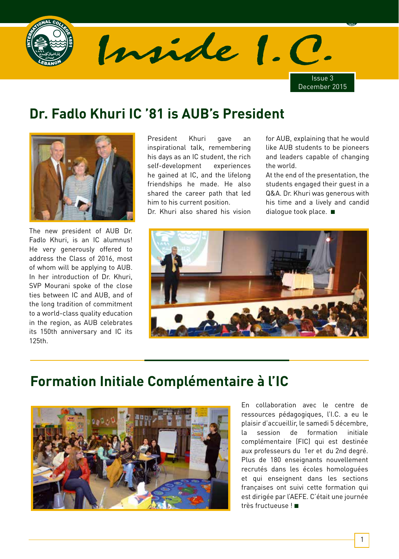

# **Dr. Fadlo Khuri IC '81 is AUB's President**



The new president of AUB Dr. Fadlo Khuri, is an IC alumnus! He very generously offered to address the Class of 2016, most of whom will be applying to AUB. In her introduction of Dr. Khuri, SVP Mourani spoke of the close ties between IC and AUB, and of the long tradition of commitment to a world-class quality education in the region, as AUB celebrates its 150th anniversary and IC its 125th.

President Khuri gave an inspirational talk, remembering his days as an IC student, the rich self-development experiences he gained at IC, and the lifelong friendships he made. He also shared the career path that led him to his current position.

Dr. Khuri also shared his vision

for AUB, explaining that he would like AUB students to be pioneers and leaders capable of changing the world.

At the end of the presentation, the students engaged their guest in a Q&A. Dr. Khuri was generous with his time and a lively and candid dialogue took place. ■



# **Formation Initiale Complémentaire à l'IC**



En collaboration avec le centre de ressources pédagogiques, l'I.C. a eu le plaisir d'accueillir, le samedi 5 décembre, la session de formation initiale complémentaire (FIC) qui est destinée aux professeurs du 1er et du 2nd degré. Plus de 180 enseignants nouvellement recrutés dans les écoles homologuées et qui enseignent dans les sections françaises ont suivi cette formation qui est dirigée par l'AEFE. C'était une journée très fructueuse ! ■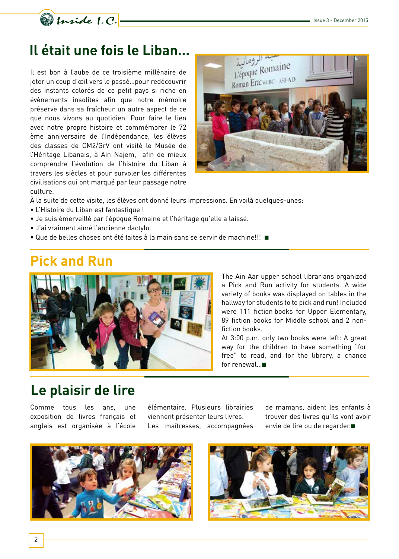

# **Il était une fois le Liban…**

Il est bon à l'aube de ce troisième millénaire de jeter un coup d'œil vers le passé…pour redécouvrir des instants colorés de ce petit pays si riche en évènements insolites afin que notre mémoire préserve dans sa fraîcheur un autre aspect de ce que nous vivons au quotidien. Pour faire le lien avec notre propre histoire et commémorer le 72 ème anniversaire de l'Indépendance, les élèves des classes de CM2/GrV ont visité le Musée de l'Héritage Libanais, à Ain Najem, afin de mieux comprendre l'évolution de l'histoire du Liban à travers les siècles et pour survoler les différentes civilisations qui ont marqué par leur passage notre culture.



À la suite de cette visite, les élèves ont donné leurs impressions. En voilà quelques-unes:

- L'Histoire du Liban est fantastique !
- Je suis émerveillé par l'époque Romaine et l'héritage qu'elle a laissé.
- J'ai vraiment aimé l'ancienne dactylo.
- Que de belles choses ont été faites à la main sans se servir de machine!!! ■

#### **Pick and Run**



The Ain Aar upper school librarians organized a Pick and Run activity for students. A wide variety of books was displayed on tables in the hallway for students to to pick and run! Included were 111 fiction books for Upper Elementary, 89 fiction books for Middle school and 2 nonfiction books.

At 3:00 p.m. only two books were left: A great way for the children to have something "for free" to read, and for the library, a chance for renewal...■

#### **Le plaisir de lire**

Comme tous les ans, une exposition de livres français et anglais est organisée à l'école élémentaire. Plusieurs librairies viennent présenter leurs livres. Les maîtresses, accompagnées

de mamans, aident les enfants à trouver des livres qu'ils vont avoir envie de lire ou de regarder.■



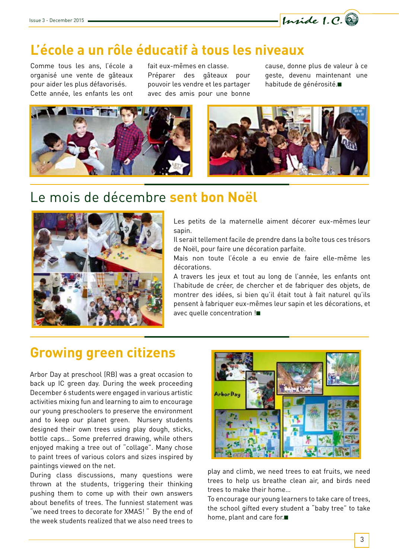

#### **L'école a un rôle éducatif à tous les niveaux**

Comme tous les ans, l'école a organisé une vente de gâteaux pour aider les plus défavorisés. Cette année, les enfants les ont fait eux-mêmes en classe. Préparer des gâteaux pour pouvoir les vendre et les partager avec des amis pour une bonne cause, donne plus de valeur à ce geste, devenu maintenant une habitude de générosité.■





#### Le mois de décembre **sent bon Noël**



Les petits de la maternelle aiment décorer eux-mêmes leur sapin.

Il serait tellement facile de prendre dans la boîte tous ces trésors de Noël, pour faire une décoration parfaite.

Mais non toute l'école a eu envie de faire elle-même les décorations.

A travers les jeux et tout au long de l'année, les enfants ont l'habitude de créer, de chercher et de fabriquer des objets, de montrer des idées, si bien qu'il était tout à fait naturel qu'ils pensent à fabriquer eux-mêmes leur sapin et les décorations, et avec quelle concentration !■

#### **Growing green citizens**

Arbor Day at preschool (RB) was a great occasion to back up IC green day. During the week proceeding December 6 students were engaged in various artistic activities mixing fun and learning to aim to encourage our young preschoolers to preserve the environment and to keep our planet green. Nursery students designed their own trees using play dough, sticks, bottle caps… Some preferred drawing, while others enjoyed making a tree out of "collage". Many chose to paint trees of various colors and sizes inspired by paintings viewed on the net.

During class discussions, many questions were thrown at the students, triggering their thinking pushing them to come up with their own answers about benefits of trees. The funniest statement was "we need trees to decorate for XMAS! " By the end of the week students realized that we also need trees to



play and climb, we need trees to eat fruits, we need trees to help us breathe clean air, and birds need trees to make their home…

To encourage our young learners to take care of trees, the school gifted every student a "baby tree" to take home, plant and care for.■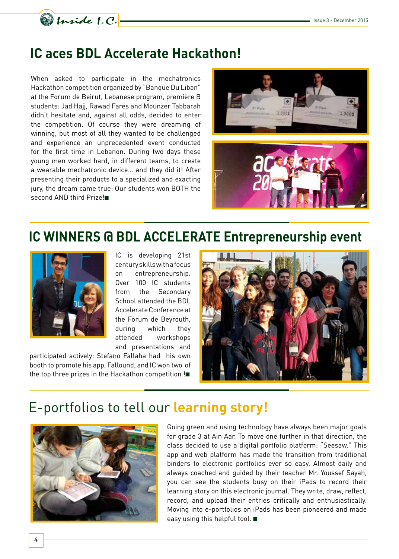

#### **IC aces BDL Accelerate Hackathon!**

When asked to participate in the mechatronics Hackathon competition organized by "Banque Du Liban" at the Forum de Beirut, Lebanese program, première B students: Jad Hajj, Rawad Fares and Mounzer Tabbarah didn't hesitate and, against all odds, decided to enter the competition. Of course they were dreaming of winning, but most of all they wanted to be challenged and experience an unprecedented event conducted for the first time in Lebanon. During two days these young men worked hard, in different teams, to create a wearable mechatronic device… and they did it! After presenting their products to a specialized and exacting jury, the dream came true: Our students won BOTH the second AND third Prize!■





#### **IC WINNERS @ BDL ACCELERATE Entrepreneurship event**



IC is developing 21st century skills with a focus on entrepreneurship. Over 100 IC students from the Secondary School attended the BDL Accelerate Conference at the Forum de Beyrouth, during which they attended workshops and presentations and

participated actively: Stefano Fallaha had his own booth to promote his app, Fallound, and IC won two of the top three prizes in the Hackathon competition !■



# E-portfolios to tell our **learning story!**



Going green and using technology have always been major goals for grade 3 at Ain Aar. To move one further in that direction, the class decided to use a digital portfolio platform: "Seesaw." This app and web platform has made the transition from traditional binders to electronic portfolios ever so easy. Almost daily and always coached and guided by their teacher Mr. Youssef Sayah, you can see the students busy on their iPads to record their learning story on this electronic journal. They write, draw, reflect, record, and upload their entries critically and enthusiastically. Moving into e-portfolios on iPads has been pioneered and made easy using this helpful tool. ■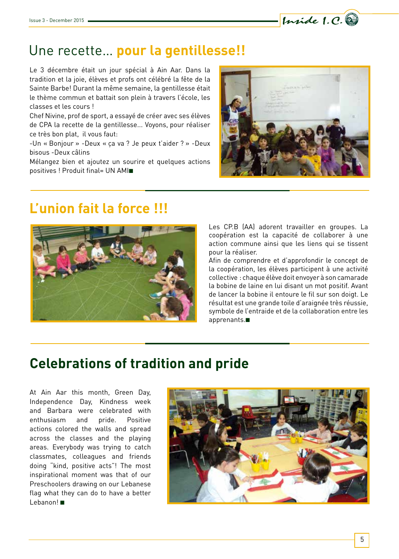# Une recette… **pour la gentillesse!!**

Le 3 décembre était un jour spécial à Ain Aar. Dans la tradition et la joie, élèves et profs ont célébré la fête de la Sainte Barbe! Durant la même semaine, la gentillesse était le thème commun et battait son plein à travers l'école, les classes et les cours !

Chef Nivine, prof de sport, a essayé de créer avec ses élèves de CPA la recette de la gentillesse... Voyons, pour réaliser ce très bon plat, il vous faut:

-Un « Bonjour » -Deux « ça va ? Je peux t'aider ? » -Deux bisous -Deux câlins

Mélangez bien et ajoutez un sourire et quelques actions positives ! Produit final= UN AMI■



Inside 1.C.

# **L'union fait la force !!!**



Les CP.B (AA) adorent travailler en groupes. La coopération est la capacité de collaborer à une action commune ainsi que les liens qui se tissent pour la réaliser.

Afin de comprendre et d'approfondir le concept de la coopération, les élèves participent à une activité collective : chaque élève doit envoyer à son camarade la bobine de laine en lui disant un mot positif. Avant de lancer la bobine il entoure le fil sur son doigt. Le résultat est une grande toile d'araignée très réussie, symbole de l'entraide et de la collaboration entre les apprenants.■

# **Celebrations of tradition and pride**

At Ain Aar this month, Green Day, Independence Day, Kindness week and Barbara were celebrated with enthusiasm and pride. Positive actions colored the walls and spread across the classes and the playing areas. Everybody was trying to catch classmates, colleagues and friends doing "kind, positive acts"! The most inspirational moment was that of our Preschoolers drawing on our Lebanese flag what they can do to have a better Lebanon! ■

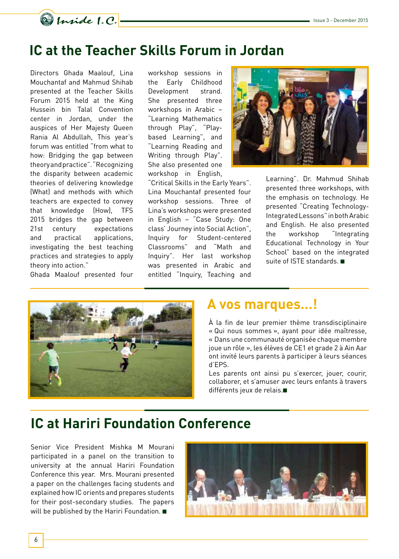

#### **IC at the Teacher Skills Forum in Jordan**

Directors Ghada Maalouf, Lina Mouchantaf and Mahmud Shihab presented at the Teacher Skills Forum 2015 held at the King Hussein bin Talal Convention center in Jordan, under the auspices of Her Majesty Queen Rania Al Abdullah, This year's forum was entitled "from what to how: Bridging the gap between theory and practice". "Recognizing the disparity between academic theories of delivering knowledge (What) and methods with which teachers are expected to convey that knowledge (How), TFS 2015 bridges the gap between 21st century expectations and practical applications, investigating the best teaching practices and strategies to apply theory into action."

Ghada Maalouf presented four

workshop sessions in the Early Childhood Development strand. She presented three workshops in Arabic – "Learning Mathematics through Play", "Playbased Learning", and "Learning Reading and Writing through Play". She also presented one workshop in English,

"Critical Skills in the Early Years". Lina Mouchantaf presented four workshop sessions. Three of Lina's workshops were presented in English – "Case Study: One class' Journey into Social Action", Inquiry for Student-centered Classrooms" and "Math and Inquiry". Her last workshop was presented in Arabic and entitled "Inquiry, Teaching and



Learning". Dr. Mahmud Shihab presented three workshops, with the emphasis on technology. He presented "Creating Technology-Integrated Lessons" in both Arabic and English. He also presented the workshop "Integrating Educational Technology in Your School" based on the integrated suite of ISTE standards. ■



#### **A vos marques…!**

À la fin de leur premier thème transdisciplinaire « Qui nous sommes », ayant pour idée maîtresse, « Dans une communauté organisée chaque membre joue un rôle », les élèves de CE1 et grade 2 à Ain Aar ont invité leurs parents à participer à leurs séances d'EPS.

Les parents ont ainsi pu s'exercer, jouer, courir, collaborer, et s'amuser avec leurs enfants à travers différents jeux de relais.■

#### **IC at Hariri Foundation Conference**

Senior Vice President Mishka M Mourani participated in a panel on the transition to university at the annual Hariri Foundation Conference this year. Mrs. Mourani presented a paper on the challenges facing students and explained how IC orients and prepares students for their post-secondary studies. The papers will be published by the Hariri Foundation. ■

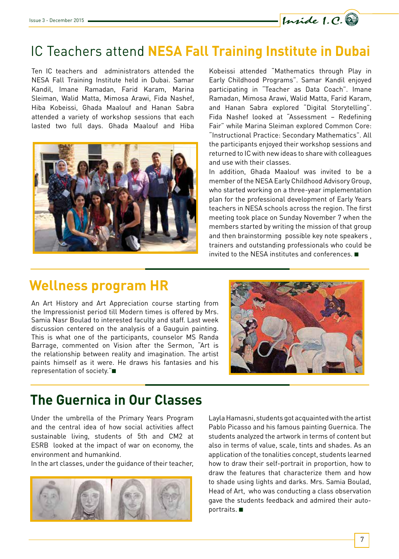# IC Teachers attend **NESA Fall Training Institute in Dubai**

Ten IC teachers and administrators attended the NESA Fall Training Institute held in Dubai. Samar Kandil, Imane Ramadan, Farid Karam, Marina Sleiman, Walid Matta, Mimosa Arawi, Fida Nashef, Hiba Kobeissi, Ghada Maalouf and Hanan Sabra attended a variety of workshop sessions that each lasted two full days. Ghada Maalouf and Hiba



Kobeissi attended "Mathematics through Play in Early Childhood Programs". Samar Kandil enjoyed participating in "Teacher as Data Coach". Imane Ramadan, Mimosa Arawi, Walid Matta, Farid Karam, and Hanan Sabra explored "Digital Storytelling". Fida Nashef looked at "Assessment – Redefining Fair" while Marina Sleiman explored Common Core: "Instructional Practice: Secondary Mathematics". All the participants enjoyed their workshop sessions and returned to IC with new ideas to share with colleagues and use with their classes.

Inside 1.C.

In addition, Ghada Maalouf was invited to be a member of the NESA Early Childhood Advisory Group, who started working on a three-year implementation plan for the professional development of Early Years teachers in NESA schools across the region. The first meeting took place on Sunday November 7 when the members started by writing the mission of that group and then brainstorming possible key note speakers , trainers and outstanding professionals who could be invited to the NESA institutes and conferences. ■

# **Wellness program HR**

An Art History and Art Appreciation course starting from the Impressionist period till Modern times is offered by Mrs. Samia Nasr Boulad to interested faculty and staff. Last week discussion centered on the analysis of a Gauguin painting. This is what one of the participants, counselor MS Randa Barrage, commented on Vision after the Sermon, "Art is the relationship between reality and imagination. The artist paints himself as it were. He draws his fantasies and his representation of society."■



# **The Guernica in Our Classes**

Under the umbrella of the Primary Years Program and the central idea of how social activities affect sustainable living, students of 5th and CM2 at ESRB looked at the impact of war on economy, the environment and humankind.

In the art classes, under the guidance of their teacher,



Layla Hamasni, students got acquainted with the artist Pablo Picasso and his famous painting Guernica. The students analyzed the artwork in terms of content but also in terms of value, scale, tints and shades. As an application of the tonalities concept, students learned how to draw their self-portrait in proportion, how to draw the features that characterize them and how to shade using lights and darks. Mrs. Samia Boulad, Head of Art, who was conducting a class observation gave the students feedback and admired their autoportraits. ■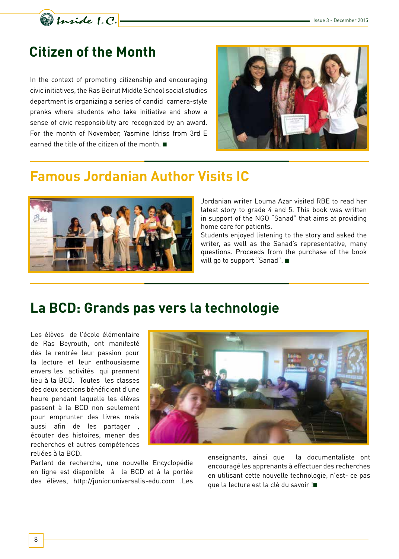

#### **Citizen of the Month**

In the context of promoting citizenship and encouraging civic initiatives, the Ras Beirut Middle School social studies department is organizing a series of candid camera-style pranks where students who take initiative and show a sense of civic responsibility are recognized by an award. For the month of November, Yasmine Idriss from 3rd E earned the title of the citizen of the month. ■



#### **Famous Jordanian Author Visits IC**



Jordanian writer Louma Azar visited RBE to read her latest story to grade 4 and 5. This book was written in support of the NGO "Sanad" that aims at providing home care for patients.

Students enjoyed listening to the story and asked the writer, as well as the Sanad's representative, many questions. Proceeds from the purchase of the book will go to support "Sanad". ■

#### **La BCD: Grands pas vers la technologie**

Les élèves de l'école élémentaire de Ras Beyrouth, ont manifesté dès la rentrée leur passion pour la lecture et leur enthousiasme envers les activités qui prennent lieu à la BCD. Toutes les classes des deux sections bénéficient d'une heure pendant laquelle les élèves passent à la BCD non seulement pour emprunter des livres mais aussi afin de les partager , écouter des histoires, mener des recherches et autres compétences reliées à la BCD.

Parlant de recherche, une nouvelle Encyclopédie en ligne est disponible à la BCD et à la portée des élèves, http://junior.universalis-edu.com .Les



enseignants, ainsi que la documentaliste ont encouragé les apprenants à effectuer des recherches en utilisant cette nouvelle technologie, n'est- ce pas que la lecture est la clé du savoir !■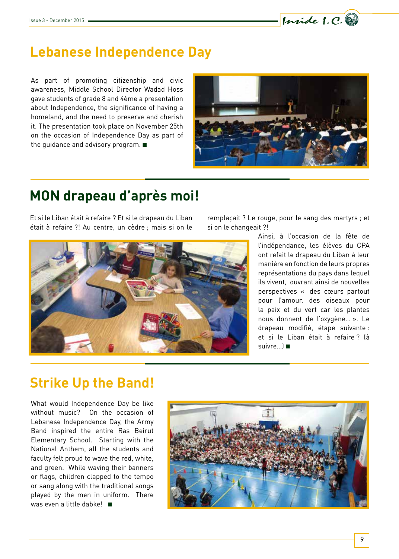

# **Lebanese Independence Day**

As part of promoting citizenship and civic awareness, Middle School Director Wadad Hoss gave students of grade 8 and 4ème a presentation about Independence, the significance of having a homeland, and the need to preserve and cherish it. The presentation took place on November 25th on the occasion of Independence Day as part of the guidance and advisory program. ■



# **MON drapeau d'après moi!**

Et si le Liban était à refaire ? Et si le drapeau du Liban était à refaire ?! Au centre, un cèdre ; mais si on le



remplaçait ? Le rouge, pour le sang des martyrs ; et si on le changeait ?!

> Ainsi, à l'occasion de la fête de l'indépendance, les élèves du CPA ont refait le drapeau du Liban à leur manière en fonction de leurs propres représentations du pays dans lequel ils vivent, ouvrant ainsi de nouvelles perspectives « des cœurs partout pour l'amour, des oiseaux pour la paix et du vert car les plantes nous donnent de l'oxygène… ». Le drapeau modifié, étape suivante : et si le Liban était à refaire ? (à suivre…) ■

# **Strike Up the Band!**

What would Independence Day be like without music? On the occasion of Lebanese Independence Day, the Army Band inspired the entire Ras Beirut Elementary School. Starting with the National Anthem, all the students and faculty felt proud to wave the red, white, and green. While waving their banners or flags, children clapped to the tempo or sang along with the traditional songs played by the men in uniform. There was even a little dabke! ■

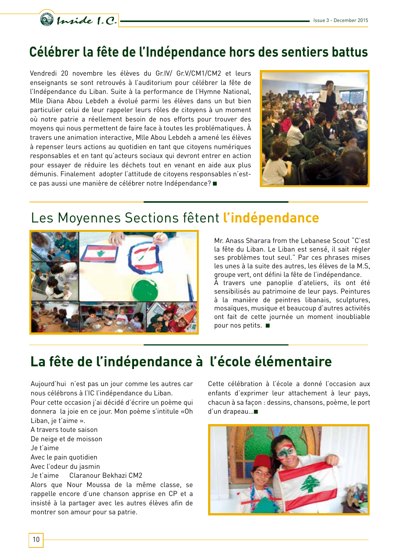

#### **Célébrer la fête de l'Indépendance hors des sentiers battus**

Vendredi 20 novembre les élèves du Gr.IV/ Gr.V/CM1/CM2 et leurs enseignants se sont retrouvés à l'auditorium pour célébrer la fête de l'Indépendance du Liban. Suite à la performance de l'Hymne National, Mlle Diana Abou Lebdeh a évolué parmi les élèves dans un but bien particulier celui de leur rappeler leurs rôles de citoyens à un moment où notre patrie a réellement besoin de nos efforts pour trouver des moyens qui nous permettent de faire face à toutes les problématiques. À travers une animation interactive, Mlle Abou Lebdeh a amené les élèves à repenser leurs actions au quotidien en tant que citoyens numériques responsables et en tant qu'acteurs sociaux qui devront entrer en action pour essayer de réduire les déchets tout en venant en aide aux plus démunis. Finalement adopter l'attitude de citoyens responsables n'estce pas aussi une manière de célébrer notre Indépendance? ■



# Les Moyennes Sections fêtent **l'indépendance**



Mr. Anass Sharara from the Lebanese Scout "C'est la fête du Liban. Le Liban est sensé, il sait régler ses problèmes tout seul." Par ces phrases mises les unes à la suite des autres, les élèves de la M.S, groupe vert, ont défini la fête de l'indépendance. À travers une panoplie d'ateliers, ils ont été sensibilisés au patrimoine de leur pays. Peintures à la manière de peintres libanais, sculptures, mosaïques, musique et beaucoup d'autres activités ont fait de cette journée un moment inoubliable pour nos petits. ■

# **La fête de l'indépendance à l'école élémentaire**

Aujourd'hui n'est pas un jour comme les autres car nous célébrons à l'IC l'indépendance du Liban.

Pour cette occasion j'ai décidé d'écrire un poème qui donnera la joie en ce jour. Mon poème s'intitule «Oh Liban, je t'aime ».

A travers toute saison De neige et de moisson

Je t'aime

Avec le pain quotidien

Avec l'odeur du jasmin

Je t'aime Claranour Bekhazi CM2

Alors que Nour Moussa de la même classe, se rappelle encore d'une chanson apprise en CP et a insisté à la partager avec les autres élèves afin de montrer son amour pour sa patrie.

Cette célébration à l'école a donné l'occasion aux enfants d'exprimer leur attachement à leur pays, chacun à sa façon : dessins, chansons, poème, le port d'un drapeau…■

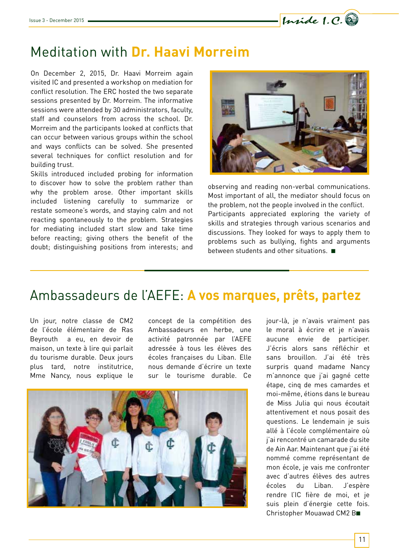Inside 1.C.

# Meditation with **Dr. Haavi Morreim**

On December 2, 2015, Dr. Haavi Morreim again visited IC and presented a workshop on mediation for conflict resolution. The ERC hosted the two separate sessions presented by Dr. Morreim. The informative sessions were attended by 30 administrators, faculty, staff and counselors from across the school. Dr. Morreim and the participants looked at conflicts that can occur between various groups within the school and ways conflicts can be solved. She presented several techniques for conflict resolution and for building trust.

Skills introduced included probing for information to discover how to solve the problem rather than why the problem arose. Other important skills included listening carefully to summarize or restate someone's words, and staying calm and not reacting spontaneously to the problem. Strategies for mediating included start slow and take time before reacting; giving others the benefit of the doubt; distinguishing positions from interests; and



observing and reading non-verbal communications. Most important of all, the mediator should focus on the problem, not the people involved in the conflict. Participants appreciated exploring the variety of skills and strategies through various scenarios and discussions. They looked for ways to apply them to problems such as bullying, fights and arguments between students and other situations. ■

#### Ambassadeurs de l'AEFE: **A vos marques, prêts, partez**

Un jour, notre classe de CM2 de l'école élémentaire de Ras Beyrouth a eu, en devoir de maison, un texte à lire qui parlait du tourisme durable. Deux jours plus tard, notre institutrice, Mme Nancy, nous explique le concept de la compétition des Ambassadeurs en herbe, une activité patronnée par l'AEFE adressée à tous les élèves des écoles françaises du Liban. Elle nous demande d'écrire un texte sur le tourisme durable. Ce



jour-là, je n'avais vraiment pas le moral à écrire et je n'avais aucune envie de participer. J'écris alors sans réfléchir et sans brouillon. J'ai été très surpris quand madame Nancy m'annonce que j'ai gagné cette étape, cinq de mes camardes et moi-même, étions dans le bureau de Miss Julia qui nous écoutait attentivement et nous posait des questions. Le lendemain je suis allé à l'école complémentaire où j'ai rencontré un camarade du site de Ain Aar. Maintenant que j'ai été nommé comme représentant de mon école, je vais me confronter avec d'autres élèves des autres écoles du Liban. J'espère rendre l'IC fière de moi, et je suis plein d'énergie cette fois. Christopher Mouawad CM2 B■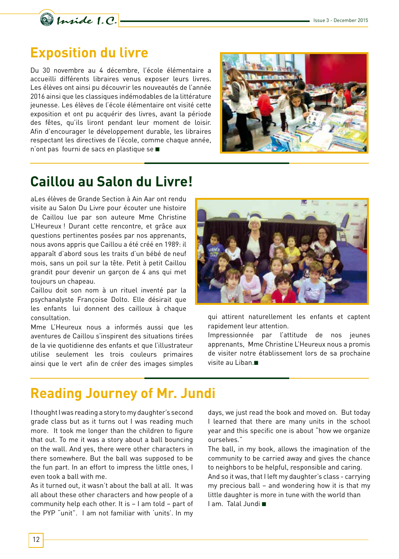

#### **Exposition du livre**

Du 30 novembre au 4 décembre, l'école élémentaire a accueilli différents libraires venus exposer leurs livres. Les élèves ont ainsi pu découvrir les nouveautés de l'année 2016 ainsi que les classiques indémodables de la littérature jeunesse. Les élèves de l'école élémentaire ont visité cette exposition et ont pu acquérir des livres, avant la période des fêtes, qu'ils liront pendant leur moment de loisir. Afin d'encourager le développement durable, les libraires respectant les directives de l'école, comme chaque année, n'ont pas fourni de sacs en plastique se ■



#### **Caillou au Salon du Livre!**

aLes élèves de Grande Section à Ain Aar ont rendu visite au Salon Du Livre pour écouter une histoire de Caillou lue par son auteure Mme Christine L'Heureux ! Durant cette rencontre, et grâce aux questions pertinentes posées par nos apprenants, nous avons appris que Caillou a été créé en 1989: il apparaît d'abord sous les traits d'un bébé de neuf mois, sans un poil sur la tête. Petit à petit Caillou grandit pour devenir un garçon de 4 ans qui met toujours un chapeau.

Caillou doit son nom à un rituel inventé par la psychanalyste Françoise Dolto. Elle désirait que les enfants lui donnent des cailloux à chaque consultation.

Mme L'Heureux nous a informés aussi que les aventures de Caillou s'inspirent des situations tirées de la vie quotidienne des enfants et que l'illustrateur utilise seulement les trois couleurs primaires ainsi que le vert afin de créer des images simples



qui attirent naturellement les enfants et captent rapidement leur attention.

Impressionnée par l'attitude de nos jeunes apprenants, Mme Christine L'Heureux nous a promis de visiter notre établissement lors de sa prochaine visite au Liban.■

# **Reading Journey of Mr. Jundi**

I thought I was reading a story to my daughter's second grade class but as it turns out I was reading much more. It took me longer than the children to figure that out. To me it was a story about a ball bouncing on the wall. And yes, there were other characters in there somewhere. But the ball was supposed to be the fun part. In an effort to impress the little ones, I even took a ball with me.

As it turned out, it wasn't about the ball at all. It was all about these other characters and how people of a community help each other. It is – I am told – part of the PYP "unit". I am not familiar with 'units'. In my

days, we just read the book and moved on. But today I learned that there are many units in the school year and this specific one is about "how we organize ourselves."

The ball, in my book, allows the imagination of the community to be carried away and gives the chance to neighbors to be helpful, responsible and caring. And so it was, that I left my daughter's class - carrying my precious ball – and wondering how it is that my little daughter is more in tune with the world than I am. Talal Jundi ■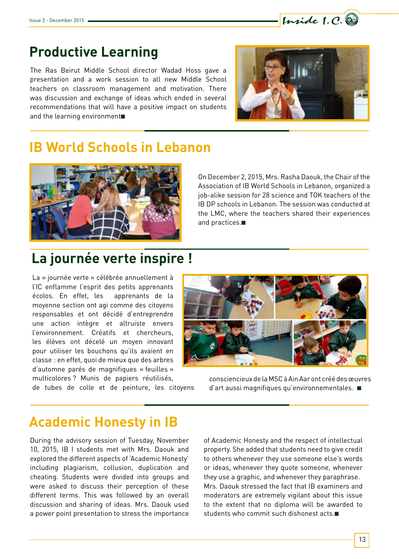

#### **Productive Learning**

The Ras Beirut Middle School director Wadad Hoss gave a presentation and a work session to all new Middle School teachers on classroom management and motivation. There was discussion and exchange of ideas which ended in several recommendations that will have a positive impact on students and the learning environment■



#### **IB World Schools in Lebanon**



On December 2, 2015, Mrs. Rasha Daouk, the Chair of the Association of IB World Schools in Lebanon, organized a job-alike session for 28 science and TOK teachers of the IB DP schools in Lebanon. The session was conducted at the LMC, where the teachers shared their experiences and practices.■

# **La journée verte inspire !**

La « journée verte » célébrée annuellement à l'IC enflamme l'esprit des petits apprenants écolos. En effet, les apprenants de la moyenne section ont agi comme des citoyens responsables et ont décidé d'entreprendre une action intègre et altruiste envers l'environnement. Créatifs et chercheurs, les élèves ont décelé un moyen innovant pour utiliser les bouchons qu'ils avaient en classe : en effet, quoi de mieux que des arbres d'automne parés de magnifiques « feuilles » multicolores ? Munis de papiers réutilisés,

de tubes de colle et de peinture, les citoyens



consciencieux de la MSC à Ain Aar ont créé des œuvres d'art aussi magnifiques qu'environnementales. ■

#### **Academic Honesty in IB**

During the advisory session of Tuesday, November 10, 2015, IB I students met with Mrs. Daouk and explored the different aspects of 'Academic Honesty' including plagiarism, collusion, duplication and cheating. Students were divided into groups and were asked to discuss their perception of these different terms. This was followed by an overall discussion and sharing of ideas. Mrs. Daouk used a power point presentation to stress the importance

of Academic Honesty and the respect of intellectual property. She added that students need to give credit to others whenever they use someone else's words or ideas, whenever they quote someone, whenever they use a graphic, and whenever they paraphrase. Mrs. Daouk stressed the fact that IB examiners and moderators are extremely vigilant about this issue to the extent that no diploma will be awarded to students who commit such dishonest acts.■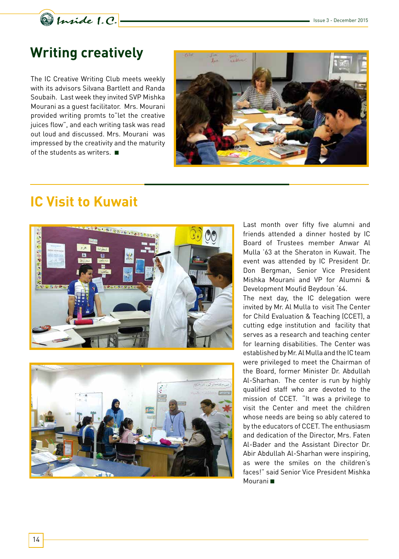

# **Writing creatively**

The IC Creative Writing Club meets weekly with its advisors Silvana Bartlett and Randa Soubaih. Last week they invited SVP Mishka Mourani as a guest facilitator. Mrs. Mourani provided writing promts to"let the creative juices flow", and each writing task was read out loud and discussed. Mrs. Mourani was impressed by the creativity and the maturity of the students as writers. ■



# **IC Visit to Kuwait**





Last month over fifty five alumni and friends attended a dinner hosted by IC Board of Trustees member Anwar Al Mulla '63 at the Sheraton in Kuwait. The event was attended by IC President Dr. Don Bergman, Senior Vice President Mishka Mourani and VP for Alumni & Development Moufid Beydoun '64.

The next day, the IC delegation were invited by Mr. Al Mulla to visit The Center for Child Evaluation & Teaching (CCET), a cutting edge institution and facility that serves as a research and teaching center for learning disabilities. The Center was established by Mr. Al Mulla and the IC team were privileged to meet the Chairman of the Board, former Minister Dr. Abdullah Al-Sharhan. The center is run by highly qualified staff who are devoted to the mission of CCET. "It was a privilege to visit the Center and meet the children whose needs are being so ably catered to by the educators of CCET. The enthusiasm and dedication of the Director, Mrs. Faten Al-Bader and the Assistant Director Dr. Abir Abdullah Al-Sharhan were inspiring, as were the smiles on the children's faces!" said Senior Vice President Mishka Mourani ■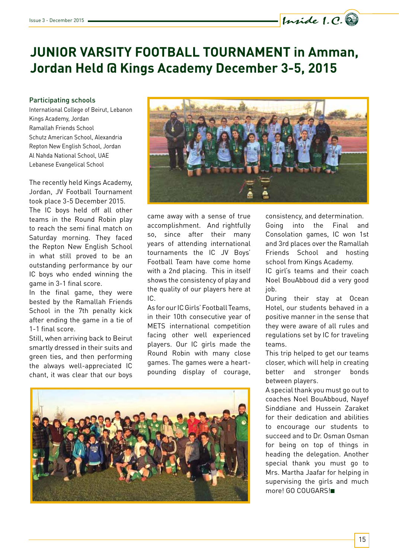# **JUNIOR VARSITY FOOTBALL TOURNAMENT in Amman, Jordan Held @ Kings Academy December 3-5, 2015**

#### Participating schools

International College of Beirut, Lebanon Kings Academy, Jordan Ramallah Friends School Schutz American School, Alexandria Repton New English School, Jordan Al Nahda National School, UAE Lebanese Evangelical School

The recently held Kings Academy, Jordan, JV Football Tournament took place 3-5 December 2015. The IC boys held off all other teams in the Round Robin play to reach the semi final match on Saturday morning. They faced the Repton New English School in what still proved to be an outstanding performance by our IC boys who ended winning the game in 3-1 final score.

In the final game, they were bested by the Ramallah Friends School in the 7th penalty kick after ending the game in a tie of 1-1 final score.

Still, when arriving back to Beirut smartly dressed in their suits and green ties, and then performing the always well-appreciated IC chant, it was clear that our boys



came away with a sense of true accomplishment. And rightfully so, since after their many years of attending international tournaments the IC JV Boys' Football Team have come home with a 2nd placing. This in itself shows the consistency of play and the quality of our players here at IC.

As for our IC Girls' Football Teams, in their 10th consecutive year of METS international competition facing other well experienced players. Our IC girls made the Round Robin with many close games. The games were a heartpounding display of courage,



consistency, and determination.

Inside 1.C.

Going into the Final and Consolation games, IC won 1st and 3rd places over the Ramallah Friends School and hosting school from Kings Academy.

IC girl's teams and their coach Noel BouAbboud did a very good job.

During their stay at Ocean Hotel, our students behaved in a positive manner in the sense that they were aware of all rules and regulations set by IC for traveling teams.

This trip helped to get our teams closer, which will help in creating better and stronger bonds between players.

A special thank you must go out to coaches Noel BouAbboud, Nayef Sinddiane and Hussein Zaraket for their dedication and abilities to encourage our students to succeed and to Dr. Osman Osman for being on top of things in heading the delegation. Another special thank you must go to Mrs. Martha Jaafar for helping in supervising the girls and much more! GO COUGARS!■